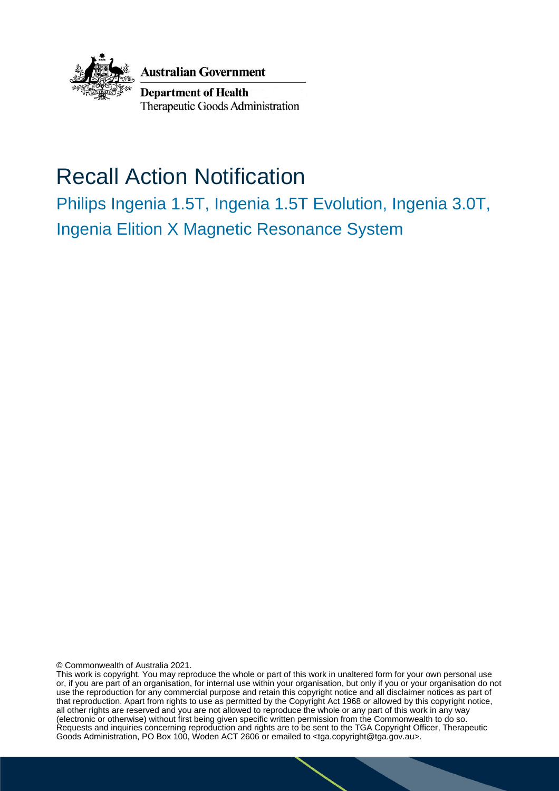

**Australian Government** 

**Department of Health** Therapeutic Goods Administration

# Recall Action Notification

Philips Ingenia 1.5T, Ingenia 1.5T Evolution, Ingenia 3.0T, Ingenia Elition X Magnetic Resonance System

© Commonwealth of Australia 2021.

This work is copyright. You may reproduce the whole or part of this work in unaltered form for your own personal use or, if you are part of an organisation, for internal use within your organisation, but only if you or your organisation do not use the reproduction for any commercial purpose and retain this copyright notice and all disclaimer notices as part of that reproduction. Apart from rights to use as permitted by the Copyright Act 1968 or allowed by this copyright notice, all other rights are reserved and you are not allowed to reproduce the whole or any part of this work in any way (electronic or otherwise) without first being given specific written permission from the Commonwealth to do so. Requests and inquiries concerning reproduction and rights are to be sent to the TGA Copyright Officer, Therapeutic Goods Administration, PO Box 100, Woden ACT 2606 or emailed to <tga.copyright@tga.gov.au>.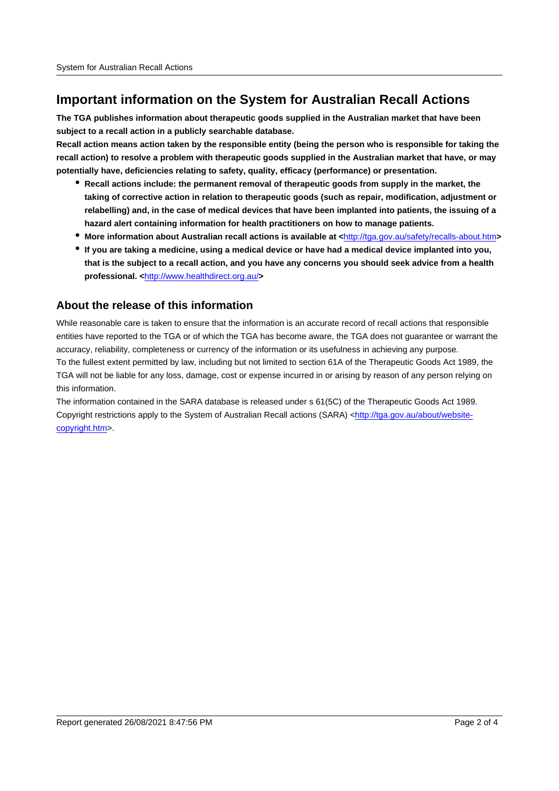## **Important information on the System for Australian Recall Actions**

**The TGA publishes information about therapeutic goods supplied in the Australian market that have been subject to a recall action in a publicly searchable database.**

**Recall action means action taken by the responsible entity (being the person who is responsible for taking the recall action) to resolve a problem with therapeutic goods supplied in the Australian market that have, or may potentially have, deficiencies relating to safety, quality, efficacy (performance) or presentation.**

- **Recall actions include: the permanent removal of therapeutic goods from supply in the market, the taking of corrective action in relation to therapeutic goods (such as repair, modification, adjustment or relabelling) and, in the case of medical devices that have been implanted into patients, the issuing of a hazard alert containing information for health practitioners on how to manage patients.**
- **More information about Australian recall actions is available at <**http://tga.gov.au/safety/recalls-about.htm**>**
- **If you are taking a medicine, using a medical device or have had a medical device implanted into you, that is the subject to a recall action, and you have any concerns you should seek advice from a health professional. <**http://www.healthdirect.org.au/**>**

#### **About the release of this information**

While reasonable care is taken to ensure that the information is an accurate record of recall actions that responsible entities have reported to the TGA or of which the TGA has become aware, the TGA does not guarantee or warrant the accuracy, reliability, completeness or currency of the information or its usefulness in achieving any purpose. To the fullest extent permitted by law, including but not limited to section 61A of the Therapeutic Goods Act 1989, the TGA will not be liable for any loss, damage, cost or expense incurred in or arising by reason of any person relying on this information.

The information contained in the SARA database is released under s 61(5C) of the Therapeutic Goods Act 1989. Copyright restrictions apply to the System of Australian Recall actions (SARA) <http://tga.gov.au/about/websitecopyright.htm>.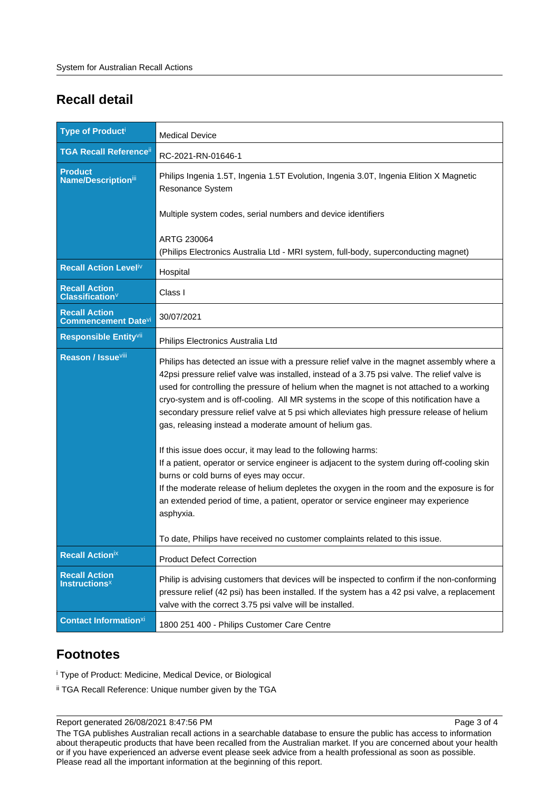# **Recall detail**

| <b>Type of Producti</b>                                    | <b>Medical Device</b>                                                                                                                                                                                                                                                                                                                                                                                                                                                                                                                                                                                                                                                                                                                                                                                                                                                                                                                                                                                                              |
|------------------------------------------------------------|------------------------------------------------------------------------------------------------------------------------------------------------------------------------------------------------------------------------------------------------------------------------------------------------------------------------------------------------------------------------------------------------------------------------------------------------------------------------------------------------------------------------------------------------------------------------------------------------------------------------------------------------------------------------------------------------------------------------------------------------------------------------------------------------------------------------------------------------------------------------------------------------------------------------------------------------------------------------------------------------------------------------------------|
| <b>TGA Recall Reference</b> ii                             | RC-2021-RN-01646-1                                                                                                                                                                                                                                                                                                                                                                                                                                                                                                                                                                                                                                                                                                                                                                                                                                                                                                                                                                                                                 |
| <b>Product</b><br>Name/Descriptioniii                      | Philips Ingenia 1.5T, Ingenia 1.5T Evolution, Ingenia 3.0T, Ingenia Elition X Magnetic<br>Resonance System                                                                                                                                                                                                                                                                                                                                                                                                                                                                                                                                                                                                                                                                                                                                                                                                                                                                                                                         |
|                                                            | Multiple system codes, serial numbers and device identifiers                                                                                                                                                                                                                                                                                                                                                                                                                                                                                                                                                                                                                                                                                                                                                                                                                                                                                                                                                                       |
|                                                            | ARTG 230064<br>(Philips Electronics Australia Ltd - MRI system, full-body, superconducting magnet)                                                                                                                                                                                                                                                                                                                                                                                                                                                                                                                                                                                                                                                                                                                                                                                                                                                                                                                                 |
| Recall Action Leveliv                                      | Hospital                                                                                                                                                                                                                                                                                                                                                                                                                                                                                                                                                                                                                                                                                                                                                                                                                                                                                                                                                                                                                           |
| <b>Recall Action</b><br><b>Classification</b> <sup>V</sup> | Class I                                                                                                                                                                                                                                                                                                                                                                                                                                                                                                                                                                                                                                                                                                                                                                                                                                                                                                                                                                                                                            |
| <b>Recall Action</b><br><b>Commencement Datevi</b>         | 30/07/2021                                                                                                                                                                                                                                                                                                                                                                                                                                                                                                                                                                                                                                                                                                                                                                                                                                                                                                                                                                                                                         |
| Responsible Entityvii                                      | Philips Electronics Australia Ltd                                                                                                                                                                                                                                                                                                                                                                                                                                                                                                                                                                                                                                                                                                                                                                                                                                                                                                                                                                                                  |
| Reason / Issuevill                                         | Philips has detected an issue with a pressure relief valve in the magnet assembly where a<br>42psi pressure relief valve was installed, instead of a 3.75 psi valve. The relief valve is<br>used for controlling the pressure of helium when the magnet is not attached to a working<br>cryo-system and is off-cooling. All MR systems in the scope of this notification have a<br>secondary pressure relief valve at 5 psi which alleviates high pressure release of helium<br>gas, releasing instead a moderate amount of helium gas.<br>If this issue does occur, it may lead to the following harms:<br>If a patient, operator or service engineer is adjacent to the system during off-cooling skin<br>burns or cold burns of eyes may occur.<br>If the moderate release of helium depletes the oxygen in the room and the exposure is for<br>an extended period of time, a patient, operator or service engineer may experience<br>asphyxia.<br>To date, Philips have received no customer complaints related to this issue. |
| <b>Recall Actionix</b>                                     | <b>Product Defect Correction</b>                                                                                                                                                                                                                                                                                                                                                                                                                                                                                                                                                                                                                                                                                                                                                                                                                                                                                                                                                                                                   |
| <b>Recall Action</b><br><b>Instructions<sup>x</sup></b>    | Philip is advising customers that devices will be inspected to confirm if the non-conforming<br>pressure relief (42 psi) has been installed. If the system has a 42 psi valve, a replacement<br>valve with the correct 3.75 psi valve will be installed.                                                                                                                                                                                                                                                                                                                                                                                                                                                                                                                                                                                                                                                                                                                                                                           |
| <b>Contact Informationxi</b>                               | 1800 251 400 - Philips Customer Care Centre                                                                                                                                                                                                                                                                                                                                                                                                                                                                                                                                                                                                                                                                                                                                                                                                                                                                                                                                                                                        |

## **Footnotes**

i Type of Product: Medicine, Medical Device, or Biological

ii TGA Recall Reference: Unique number given by the TGA

Report generated 26/08/2021 8:47:56 PM

Page 3 of 4

The TGA publishes Australian recall actions in a searchable database to ensure the public has access to information about therapeutic products that have been recalled from the Australian market. If you are concerned about your health or if you have experienced an adverse event please seek advice from a health professional as soon as possible. Please read all the important information at the beginning of this report.